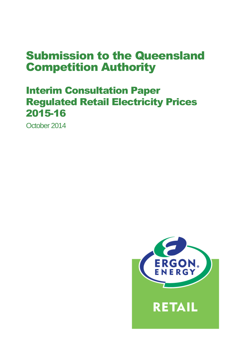# Submission to the Queensland Competition Authority

## Interim Consultation Paper Regulated Retail Electricity Prices 2015-16

October 2014

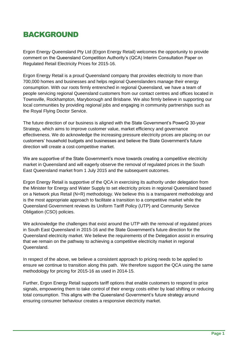### **BACKGROUND**

Ergon Energy Queensland Pty Ltd (Ergon Energy Retail) welcomes the opportunity to provide comment on the Queensland Competition Authority's (QCA) Interim Consultation Paper on Regulated Retail Electricity Prices for 2015-16.

Ergon Energy Retail is a proud Queensland company that provides electricity to more than 700,000 homes and businesses and helps regional Queenslanders manage their energy consumption. With our roots firmly entrenched in regional Queensland, we have a team of people servicing regional Queensland customers from our contact centres and offices located in Townsville, Rockhampton, Maryborough and Brisbane. We also firmly believe in supporting our local communities by providing regional jobs and engaging in community partnerships such as the Royal Flying Doctor Service.

The future direction of our business is aligned with the State Government's PowerQ 30-year Strategy, which aims to improve customer value, market efficiency and governance effectiveness. We do acknowledge the increasing pressure electricity prices are placing on our customers' household budgets and businesses and believe the State Government's future direction will create a cost-competitive market.

We are supportive of the State Government's move towards creating a competitive electricity market in Queensland and will eagerly observe the removal of regulated prices in the South East Queensland market from 1 July 2015 and the subsequent outcomes.

Ergon Energy Retail is supportive of the QCA in exercising its authority under delegation from the Minister for Energy and Water Supply to set electricity prices in regional Queensland based on a Network plus Retail (N+R) methodology. We believe this is a transparent methodology and is the most appropriate approach to facilitate a transition to a competitive market while the Queensland Government reviews its Uniform Tariff Policy (UTP) and Community Service Obligation (CSO) policies.

We acknowledge the challenges that exist around the UTP with the removal of regulated prices in South East Queensland in 2015-16 and the State Government's future direction for the Queensland electricity market. We believe the requirements of the Delegation assist in ensuring that we remain on the pathway to achieving a competitive electricity market in regional Queensland.

In respect of the above, we believe a consistent approach to pricing needs to be applied to ensure we continue to transition along this path. We therefore support the QCA using the same methodology for pricing for 2015-16 as used in 2014-15.

Further, Ergon Energy Retail supports tariff options that enable customers to respond to price signals, empowering them to take control of their energy costs either by load shifting or reducing total consumption. This aligns with the Queensland Government's future strategy around ensuring consumer behaviour creates a responsive electricity market.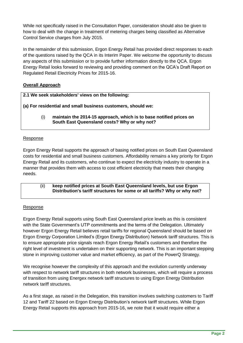While not specifically raised in the Consultation Paper, consideration should also be given to how to deal with the change in treatment of metering charges being classified as Alternative Control Service charges from July 2015.

In the remainder of this submission, Ergon Energy Retail has provided direct responses to each of the questions raised by the QCA in its Interim Paper. We welcome the opportunity to discuss any aspects of this submission or to provide further information directly to the QCA. Ergon Energy Retail looks forward to reviewing and providing comment on the QCA's Draft Report on Regulated Retail Electricity Prices for 2015-16.

#### **Overall Approach**

**2.1 We seek stakeholders' views on the following:**

**(a) For residential and small business customers, should we:**

(i) **maintain the 2014**‐**15 approach, which is to base notified prices on South East Queensland costs? Why or why not?**

#### Response

Ergon Energy Retail supports the approach of basing notified prices on South East Queensland costs for residential and small business customers. Affordability remains a key priority for Ergon Energy Retail and its customers, who continue to expect the electricity industry to operate in a manner that provides them with access to cost efficient electricity that meets their changing needs.

#### (ii) **keep notified prices at South East Queensland levels, but use Ergon Distribution's tariff structures for some or all tariffs? Why or why not?**

#### Response

Ergon Energy Retail supports using South East Queensland price levels as this is consistent with the State Government's UTP commitments and the terms of the Delegation. Ultimately however Ergon Energy Retail believes retail tariffs for regional Queensland should be based on Ergon Energy Corporation Limited's (Ergon Energy Distribution) Network tariff structures. This is to ensure appropriate price signals reach Ergon Energy Retail's customers and therefore the right level of investment is undertaken on their supporting network. This is an important stepping stone in improving customer value and market efficiency, as part of the PowerQ Strategy.

We recognise however the complexity of this approach and the evolution currently underway with respect to network tariff structures in both network businesses, which will require a process of transition from using Energex network tariff structures to using Ergon Energy Distribution network tariff structures.

As a first stage, as raised in the Delegation, this transition involves switching customers to Tariff 12 and Tariff 22 based on Ergon Energy Distribution's network tariff structures. While Ergon Energy Retail supports this approach from 2015-16, we note that it would require either a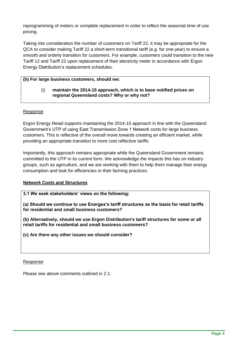reprogramming of meters or complete replacement in order to reflect the seasonal time of use pricing.

Taking into consideration the number of customers on Tariff 22, it may be appropriate for the QCA to consider making Tariff 22 a short-term transitional tariff (e.g. for one-year) to ensure a smooth and orderly transition for customers. For example, customers could transition to the new Tariff 12 and Tariff 22 upon replacement of their electricity meter in accordance with Ergon Energy Distribution's replacement schedules.

#### **(b) For large business customers, should we:**

#### (i) **maintain the 2014**‐**15 approach, which is to base notified prices on regional Queensland costs? Why or why not?**

#### Response

Ergon Energy Retail supports maintaining the 2014-15 approach in line with the Queensland Government's UTP of using East Transmission Zone 1 Network costs for large business customers. This is reflective of the overall move towards creating an efficient market, while providing an appropriate transition to more cost reflective tariffs.

Importantly, this approach remains appropriate while the Queensland Government remains committed to the UTP in its current form. We acknowledge the impacts this has on industry groups, such as agriculture, and we are working with them to help them manage their energy consumption and look for efficiencies in their farming practices.

#### **Network Costs and Structures**

#### **3.1 We seek stakeholders' views on the following:**

**(a) Should we continue to use Energex's tariff structures as the basis for retail tariffs for residential and small business customers?**

**(b) Alternatively, should we use Ergon Distribution's tariff structures for some or all retail tariffs for residential and small business customers?**

**(c) Are there any other issues we should consider?**

#### Response

Please see above comments outlined in 2.1.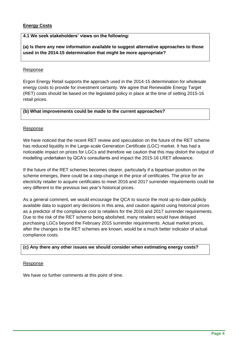#### **Energy Costs**

#### **4.1 We seek stakeholders' views on the following:**

**(a) Is there any new information available to suggest alternative approaches to those used in the 2014**‐**15 determination that might be more appropriate?**

#### Response

Ergon Energy Retail supports the approach used in the 2014-15 determination for wholesale energy costs to provide for investment certainty. We agree that Renewable Energy Target (RET) costs should be based on the legislated policy in place at the time of setting 2015-16 retail prices.

#### **(b) What improvements could be made to the current approaches?**

#### Response

We have noticed that the recent RET review and speculation on the future of the RET scheme has reduced liquidity in the Large-scale Generation Certificate (LGC) market. It has had a noticeable impact on prices for LGCs and therefore we caution that this may distort the output of modelling undertaken by QCA's consultants and impact the 2015-16 LRET allowance.

If the future of the RET schemes becomes clearer, particularly if a bipartisan position on the scheme emerges, there could be a step-change in the price of certificates. The price for an electricity retailer to acquire certificates to meet 2016 and 2017 surrender requirements could be very different to the previous two year's historical prices.

As a general comment, we would encourage the QCA to source the most up-to-date publicly available data to support any decisions in this area, and caution against using historical prices as a predictor of the compliance cost to retailers for the 2016 and 2017 surrender requirements. Due to the risk of the RET scheme being abolished, many retailers would have delayed purchasing LGCs beyond the February 2015 surrender requirements. Actual market prices, after the changes to the RET schemes are known, would be a much better indicator of actual compliance costs.

#### **(c) Any there any other issues we should consider when estimating energy costs?**

#### Response

We have no further comments at this point of time.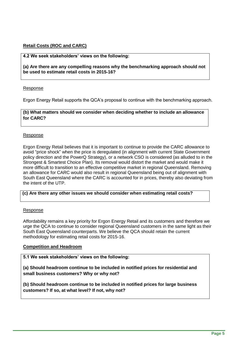#### **Retail Costs (ROC and CARC)**

#### **4.2 We seek stakeholders' views on the following:**

**(a) Are there are any compelling reasons why the benchmarking approach should not be used to estimate retail costs in 2015**‐**16?**

#### Response

Ergon Energy Retail supports the QCA's proposal to continue with the benchmarking approach.

**(b) What matters should we consider when deciding whether to include an allowance for CARC?**

#### Response

Ergon Energy Retail believes that it is important to continue to provide the CARC allowance to avoid "price shock" when the price is deregulated (in alignment with current State Government policy direction and the PowerQ Strategy), or a network CSO is considered (as alluded to in the Strongest & Smartest Choice Plan). Its removal would distort the market and would make it more difficult to transition to an effective competitive market in regional Queensland. Removing an allowance for CARC would also result in regional Queensland being out of alignment with South East Queensland where the CARC is accounted for in prices, thereby also deviating from the intent of the UTP.

#### **(c) Are there any other issues we should consider when estimating retail costs?**

#### Response

Affordability remains a key priority for Ergon Energy Retail and its customers and therefore we urge the QCA to continue to consider regional Queensland customers in the same light as their South East Queensland counterparts. We believe the QCA should retain the current methodology for estimating retail costs for 2015-16.

#### **Competition and Headroom**

**5.1 We seek stakeholders' views on the following:**

**(a) Should headroom continue to be included in notified prices for residential and small business customers? Why or why not?**

**(b) Should headroom continue to be included in notified prices for large business customers? If so, at what level? If not, why not?**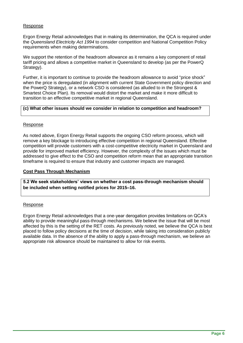#### Response

Ergon Energy Retail acknowledges that in making its determination, the QCA is required under the *Queensland Electricity Act 1994* to consider competition and National Competition Policy requirements when making determinations.

We support the retention of the headroom allowance as it remains a key component of retail tariff pricing and allows a competitive market in Queensland to develop (as per the PowerQ Strategy).

Further, it is important to continue to provide the headroom allowance to avoid "price shock" when the price is deregulated (in alignment with current State Government policy direction and the PowerQ Strategy), or a network CSO is considered (as alluded to in the Strongest & Smartest Choice Plan). Its removal would distort the market and make it more difficult to transition to an effective competitive market in regional Queensland.

#### **(c) What other issues should we consider in relation to competition and headroom?**

#### Response

As noted above, Ergon Energy Retail supports the ongoing CSO reform process, which will remove a key blockage to introducing effective competition in regional Queensland. Effective competition will provide customers with a cost-competitive electricity market in Queensland and provide for improved market efficiency. However, the complexity of the issues which must be addressed to give effect to the CSO and competition reform mean that an appropriate transition timeframe is required to ensure that industry and customer impacts are managed.

#### **Cost Pass Through Mechanism**

**5.2 We seek stakeholders' views on whether a cost pass**‐**through mechanism should be included when setting notified prices for 2015–16.**

#### Response

Ergon Energy Retail acknowledges that a one-year derogation provides limitations on QCA's ability to provide meaningful pass-through mechanisms. We believe the issue that will be most affected by this is the setting of the RET costs. As previously noted, we believe the QCA is best placed to follow policy decisions at the time of decision, while taking into consideration publicly available data. In the absence of the ability to apply a pass-through mechanism, we believe an appropriate risk allowance should be maintained to allow for risk events.